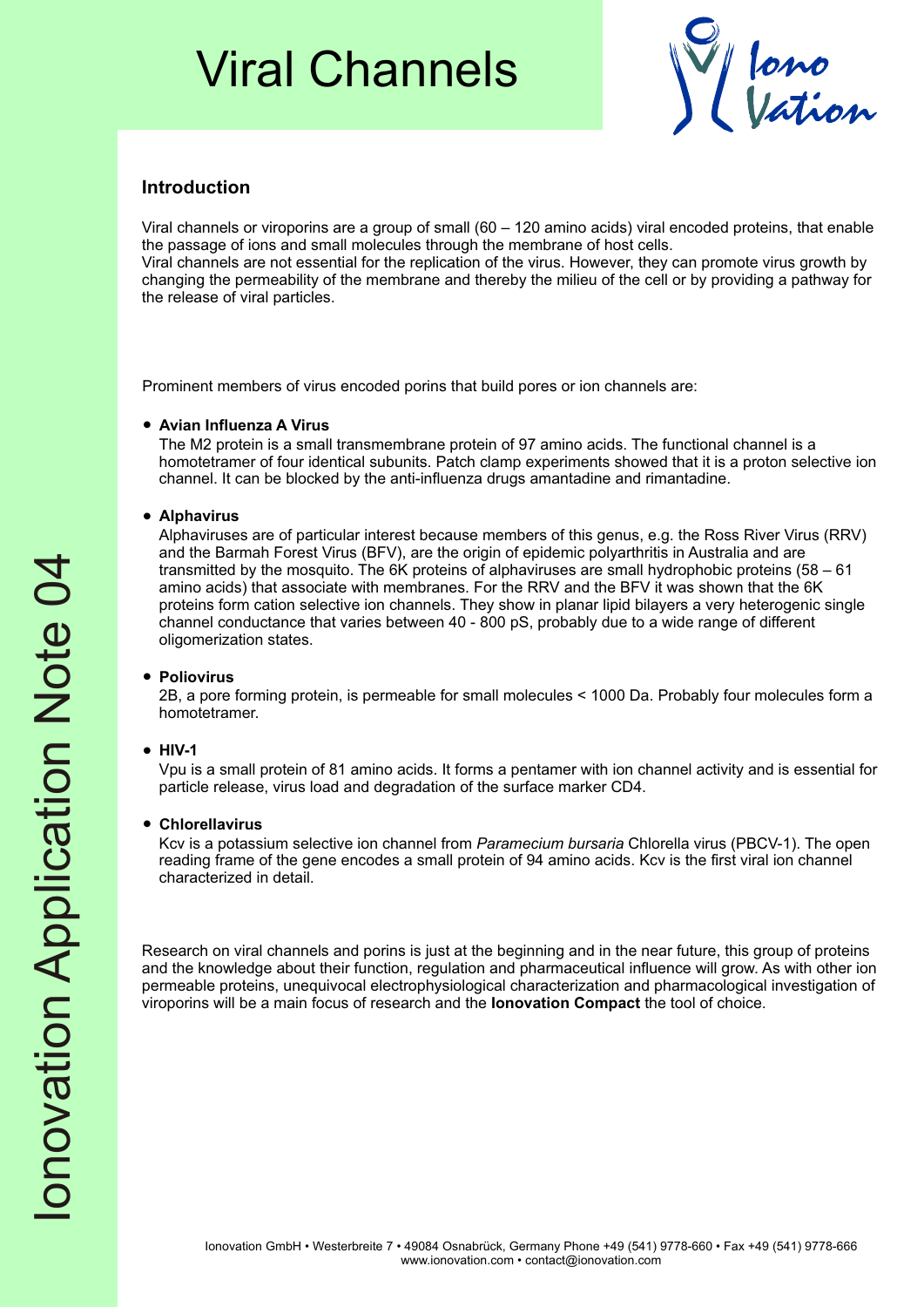## Viral Channels



## **Introduction**

Viral channels or viroporins are a group of small (60 – 120 amino acids) viral encoded proteins, that enable the passage of ions and small molecules through the membrane of host cells. Viral channels are not essential for the replication of the virus. However, they can promote virus growth by changing the permeability of the membrane and thereby the milieu of the cell or by providing a pathway for the release of viral particles.

Prominent members of virus encoded porins that build pores or ion channels are:

#### ?**Avian Influenza A Virus**

The M2 protein is a small transmembrane protein of 97 amino acids. The functional channel is a homotetramer of four identical subunits. Patch clamp experiments showed that it is a proton selective ion channel. It can be blocked by the anti-influenza drugs amantadine and rimantadine.

### ?**Alphavirus**

Alphaviruses are of particular interest because members of this genus, e.g. the Ross River Virus (RRV) and the Barmah Forest Virus (BFV), are the origin of epidemic polyarthritis in Australia and are transmitted by the mosquito. The 6K proteins of alphaviruses are small hydrophobic proteins (58 – 61 amino acids) that associate with membranes. For the RRV and the BFV it was shown that the 6K proteins form cation selective ion channels. They show in planar lipid bilayers a very heterogenic single channel conductance that varies between 40 - 800 pS, probably due to a wide range of different oligomerization states.

### ?**Poliovirus**

2B, a pore forming protein, is permeable for small molecules < 1000 Da. Probably four molecules form a homotetramer.

#### ?**HIV-1**

Vpu is a small protein of 81 amino acids. It forms a pentamer with ion channel activity and is essential for particle release, virus load and degradation of the surface marker CD4.

#### ?**Chlorellavirus**

Kcv is a potassium selective ion channel from *Paramecium bursaria* Chlorella virus (PBCV-1). The open reading frame of the gene encodes a small protein of 94 amino acids. Kcv is the first viral ion channel characterized in detail.

Research on viral channels and porins is just at the beginning and in the near future, this group of proteins and the knowledge about their function, regulation and pharmaceutical influence will grow. As with other ion permeable proteins, unequivocal electrophysiological characterization and pharmacological investigation of viroporins will be a main focus of research and the **Ionovation Compact** the tool of choice.